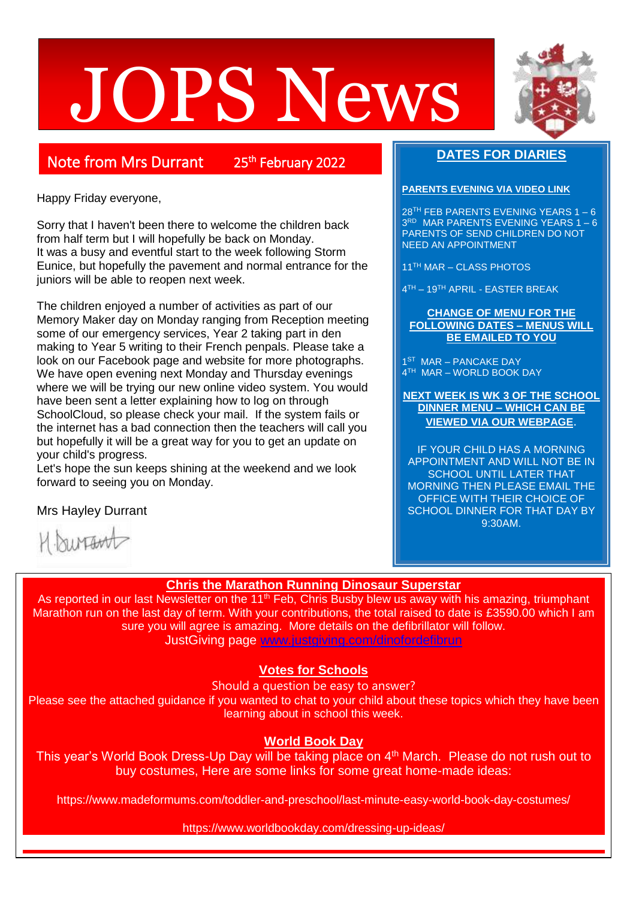# JOPS News



25<sup>th</sup> February 2022

Happy Friday everyone,

Sorry that I haven't been there to welcome the children back from half term but I will hopefully be back on Monday. It was a busy and eventful start to the week following Storm Eunice, but hopefully the pavement and normal entrance for the juniors will be able to reopen next week.

The children enjoyed a number of activities as part of our Memory Maker day on Monday ranging from Reception meeting some of our emergency services, Year 2 taking part in den making to Year 5 writing to their French penpals. Please take a look on our Facebook page and website for more photographs. We have open evening next Monday and Thursday evenings where we will be trying our new online video system. You would have been sent a letter explaining how to log on through SchoolCloud, so please check your mail. If the system fails or the internet has a bad connection then the teachers will call you but hopefully it will be a great way for you to get an update on your child's progress.

Let's hope the sun keeps shining at the weekend and we look forward to seeing you on Monday.

**DATES FOR DIARIES**

#### **PARENTS EVENING VIA VIDEO LINK**

28TH FEB PARENTS EVENING YEARS 1 – 6 3 RD MAR PARENTS EVENING YEARS 1 – 6 PARENTS OF SEND CHILDREN DO NOT NEED AN APPOINTMENT

11TH MAR – CLASS PHOTOS

4 TH – 19TH APRIL - EASTER BREAK

#### **CHANGE OF MENU FOR THE FOLLOWING DATES – MENUS WILL BE EMAILED TO YOU**

1<sup>ST</sup> MAR - PANCAKE DAY 4 TH MAR – WORLD BOOK DAY

**NEXT WEEK IS WK 3 OF THE SCHOOL DINNER MENU – WHICH CAN BE VIEWED VIA OUR WEBPAGE**.

IF YOUR CHILD HAS A MORNING APPOINTMENT AND WILL NOT BE IN SCHOOL UNTIL LATER THAT MORNING THEN PLEASE EMAIL THE OFFICE WITH THEIR CHOICE OF SCHOOL DINNER FOR THAT DAY BY 9:30AM.

Mrs Hayley Durrant

hinawt

# **Chris the Marathon Running Dinosaur Superstar**

As reported in our last Newsletter on the 11<sup>th</sup> Feb, Chris Busby blew us away with his amazing, triumphant Marathon run on the last day of term. With your contributions, the total raised to date is £3590.00 which I am sure you will agree is amazing. More details on the defibrillator will follow. JustGiving page [www.justgiving.com/dinofordefibrun](http://www.justgiving.com/dinofordefibrun)

# **Votes for Schools**

Should a question be easy to answer?

Please see the attached guidance if you wanted to chat to your child about these topics which they have been learning about in school this week.

# **World Book Day**

This year's World Book Dress-Up Day will be taking place on 4<sup>th</sup> March. Please do not rush out to buy costumes, Here are some links for some great home-made ideas:

https://www.madeformums.com/toddler-and-preschool/last-minute-easy-world-book-day-costumes/

https://www.worldbookday.com/dressing-up-ideas/